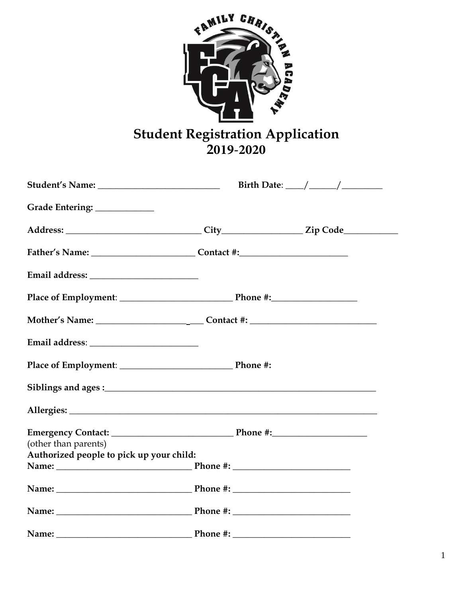

## **Student Registration Application<br>2019-2020**

|                                          |                 | Birth Date: $\_\_\_\_\_\_\_\_\_\_\_\_\_\_\_\_\_\_\_\_\_\_\_\_\_\_\_\_\_\_\_\_$ |  |
|------------------------------------------|-----------------|--------------------------------------------------------------------------------|--|
| Grade Entering: ____________             |                 |                                                                                |  |
|                                          |                 |                                                                                |  |
|                                          |                 |                                                                                |  |
| Email address: _________________________ |                 |                                                                                |  |
|                                          |                 |                                                                                |  |
|                                          |                 |                                                                                |  |
|                                          |                 |                                                                                |  |
|                                          |                 |                                                                                |  |
|                                          |                 |                                                                                |  |
|                                          |                 |                                                                                |  |
| (other than parents)                     |                 |                                                                                |  |
| Authorized people to pick up your child: |                 |                                                                                |  |
|                                          |                 |                                                                                |  |
| Name: Phone #: Phone #:                  |                 |                                                                                |  |
|                                          |                 |                                                                                |  |
| Name <sup>.</sup>                        | Phone # $\cdot$ |                                                                                |  |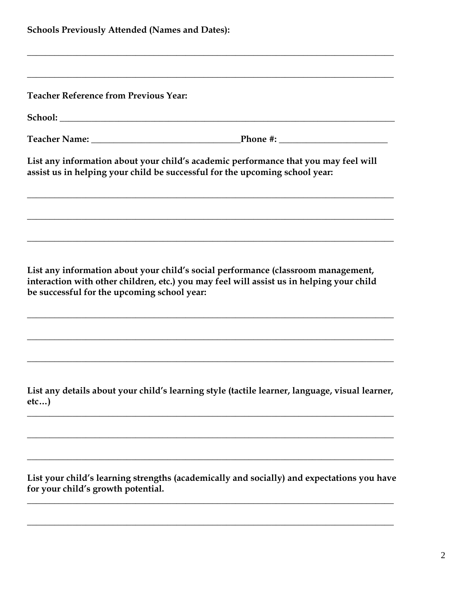| <b>Schools Previously Attended (Names and Dates):</b> |                                                                                                                                                                               |  |
|-------------------------------------------------------|-------------------------------------------------------------------------------------------------------------------------------------------------------------------------------|--|
|                                                       |                                                                                                                                                                               |  |
| <b>Teacher Reference from Previous Year:</b>          |                                                                                                                                                                               |  |
|                                                       |                                                                                                                                                                               |  |
|                                                       |                                                                                                                                                                               |  |
|                                                       | List any information about your child's academic performance that you may feel will<br>assist us in helping your child be successful for the upcoming school year:            |  |
|                                                       |                                                                                                                                                                               |  |
| be successful for the upcoming school year:           | List any information about your child's social performance (classroom management,<br>interaction with other children, etc.) you may feel will assist us in helping your child |  |
|                                                       |                                                                                                                                                                               |  |
| etc)                                                  | List any details about your child's learning style (tactile learner, language, visual learner,                                                                                |  |
|                                                       |                                                                                                                                                                               |  |
| for your child's growth potential.                    | List your child's learning strengths (academically and socially) and expectations you have                                                                                    |  |

**\_\_\_\_\_\_\_\_\_\_\_\_\_\_\_\_\_\_\_\_\_\_\_\_\_\_\_\_\_\_\_\_\_\_\_\_\_\_\_\_\_\_\_\_\_\_\_\_\_\_\_\_\_\_\_\_\_\_\_\_\_\_\_\_\_\_\_\_\_\_\_\_\_\_\_\_\_\_\_\_\_**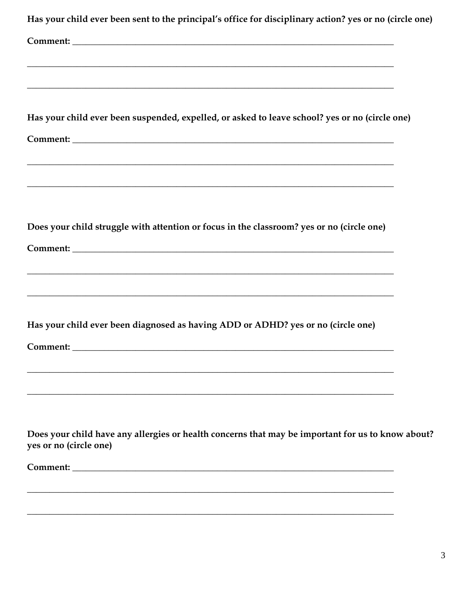| Has your child ever been sent to the principal's office for disciplinary action? yes or no (circle one)                     |
|-----------------------------------------------------------------------------------------------------------------------------|
|                                                                                                                             |
| ,我们也不能在这里的人,我们也不能在这里的人,我们也不能在这里的人,我们也不能在这里的人,我们也不能在这里的人,我们也不能在这里的人,我们也不能在这里的人,我们也                                           |
| <u> 1989 - Johann Stoff, amerikansk politiker (d. 1989)</u>                                                                 |
|                                                                                                                             |
| Has your child ever been suspended, expelled, or asked to leave school? yes or no (circle one)                              |
|                                                                                                                             |
| ,我们也不能在这里的人,我们也不能在这里的人,我们也不能在这里的人,我们也不能在这里的人,我们也不能在这里的人,我们也不能在这里的人,我们也不能在这里的人,我们也                                           |
|                                                                                                                             |
|                                                                                                                             |
| Does your child struggle with attention or focus in the classroom? yes or no (circle one)                                   |
|                                                                                                                             |
| <u> 1989 - Johann Stoff, amerikansk politiker (d. 1989)</u>                                                                 |
|                                                                                                                             |
|                                                                                                                             |
| Has your child ever been diagnosed as having ADD or ADHD? yes or no (circle one)                                            |
| Comment:                                                                                                                    |
|                                                                                                                             |
| <u> 1989 - Johann Stoff, amerikansk politiker (d. 1989)</u>                                                                 |
|                                                                                                                             |
| Does your child have any allergies or health concerns that may be important for us to know about?<br>yes or no (circle one) |
|                                                                                                                             |
|                                                                                                                             |
|                                                                                                                             |
|                                                                                                                             |